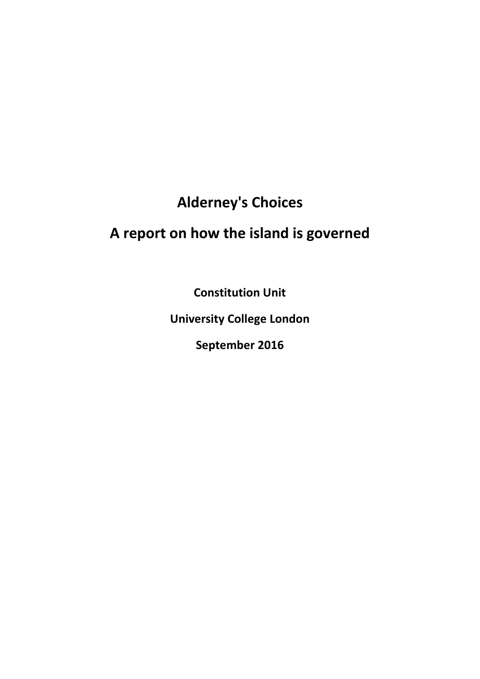## **Alderney's Choices**

# **A report on how the island is governed**

**Constitution Unit**

**University College London**

**September 2016**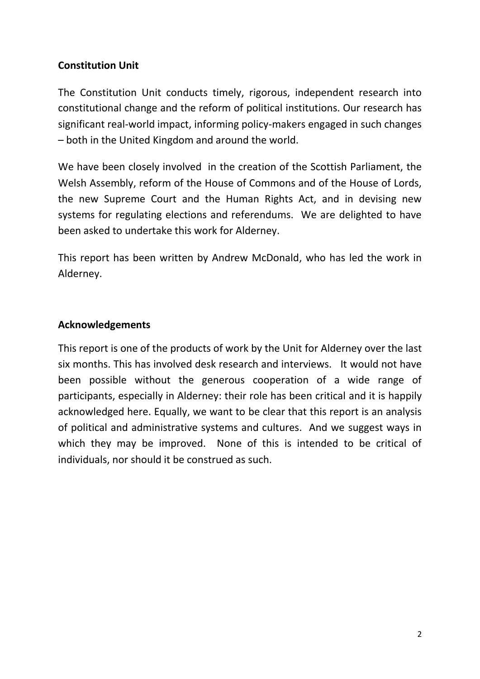## **Constitution Unit**

The Constitution Unit conducts timely, rigorous, independent research into constitutional change and the reform of political institutions. Our research has significant real-world impact, informing policy-makers engaged in such changes – both in the United Kingdom and around the world.

We have been closely involved in the creation of the Scottish Parliament, the Welsh Assembly, reform of the House of Commons and of the House of Lords, the new Supreme Court and the Human Rights Act, and in devising new systems for regulating elections and referendums. We are delighted to have been asked to undertake this work for Alderney.

This report has been written by Andrew McDonald, who has led the work in Alderney.

## **Acknowledgements**

This report is one of the products of work by the Unit for Alderney over the last six months. This has involved desk research and interviews. It would not have been possible without the generous cooperation of a wide range of participants, especially in Alderney: their role has been critical and it is happily acknowledged here. Equally, we want to be clear that this report is an analysis of political and administrative systems and cultures. And we suggest ways in which they may be improved. None of this is intended to be critical of individuals, nor should it be construed as such.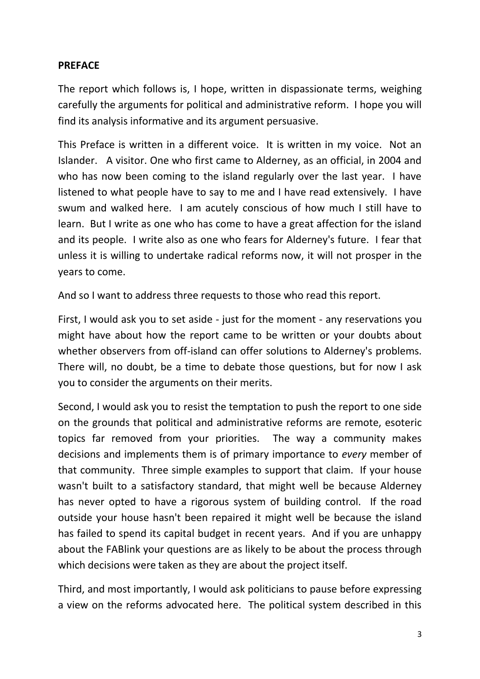## **PREFACE**

The report which follows is, I hope, written in dispassionate terms, weighing carefully the arguments for political and administrative reform. I hope you will find its analysis informative and its argument persuasive.

This Preface is written in a different voice. It is written in my voice. Not an Islander. A visitor. One who first came to Alderney, as an official, in 2004 and who has now been coming to the island regularly over the last year. I have listened to what people have to say to me and I have read extensively. I have swum and walked here. I am acutely conscious of how much I still have to learn. But I write as one who has come to have a great affection for the island and its people. I write also as one who fears for Alderney's future. I fear that unless it is willing to undertake radical reforms now, it will not prosper in the years to come.

And so I want to address three requests to those who read this report.

First, I would ask you to set aside - just for the moment - any reservations you might have about how the report came to be written or your doubts about whether observers from off-island can offer solutions to Alderney's problems. There will, no doubt, be a time to debate those questions, but for now I ask you to consider the arguments on their merits.

Second, I would ask you to resist the temptation to push the report to one side on the grounds that political and administrative reforms are remote, esoteric topics far removed from your priorities. The way a community makes decisions and implements them is of primary importance to *every* member of that community. Three simple examples to support that claim. If your house wasn't built to a satisfactory standard, that might well be because Alderney has never opted to have a rigorous system of building control. If the road outside your house hasn't been repaired it might well be because the island has failed to spend its capital budget in recent years. And if you are unhappy about the FABlink your questions are as likely to be about the process through which decisions were taken as they are about the project itself.

Third, and most importantly, I would ask politicians to pause before expressing a view on the reforms advocated here. The political system described in this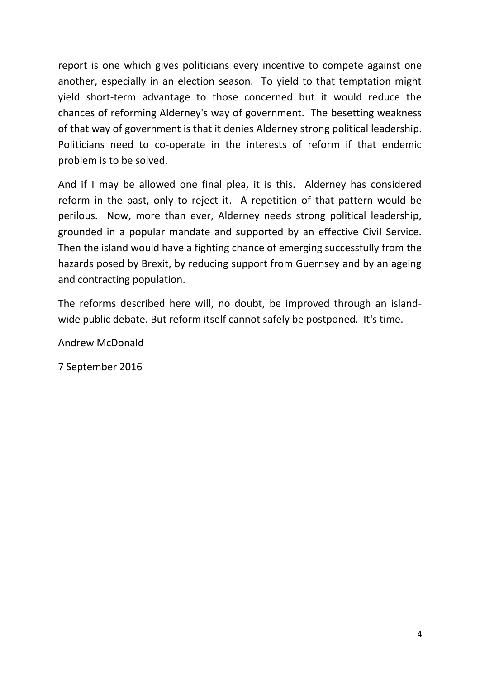report is one which gives politicians every incentive to compete against one another, especially in an election season. To yield to that temptation might yield short-term advantage to those concerned but it would reduce the chances of reforming Alderney's way of government. The besetting weakness of that way of government is that it denies Alderney strong political leadership. Politicians need to co-operate in the interests of reform if that endemic problem is to be solved.

And if I may be allowed one final plea, it is this. Alderney has considered reform in the past, only to reject it. A repetition of that pattern would be perilous. Now, more than ever, Alderney needs strong political leadership, grounded in a popular mandate and supported by an effective Civil Service. Then the island would have a fighting chance of emerging successfully from the hazards posed by Brexit, by reducing support from Guernsey and by an ageing and contracting population.

The reforms described here will, no doubt, be improved through an islandwide public debate. But reform itself cannot safely be postponed. It's time.

Andrew McDonald

7 September 2016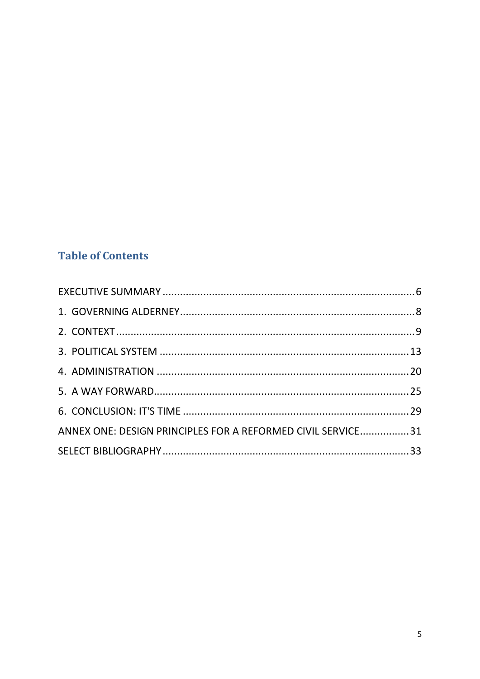## **Table of Contents**

| ANNEX ONE: DESIGN PRINCIPLES FOR A REFORMED CIVIL SERVICE31 |  |
|-------------------------------------------------------------|--|
|                                                             |  |
|                                                             |  |
|                                                             |  |
|                                                             |  |
|                                                             |  |
|                                                             |  |
|                                                             |  |
|                                                             |  |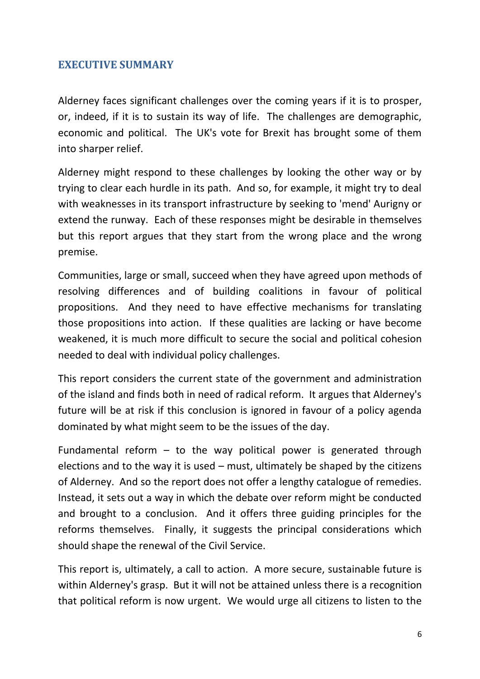## <span id="page-5-0"></span>**EXECUTIVE SUMMARY**

Alderney faces significant challenges over the coming years if it is to prosper, or, indeed, if it is to sustain its way of life. The challenges are demographic, economic and political. The UK's vote for Brexit has brought some of them into sharper relief.

Alderney might respond to these challenges by looking the other way or by trying to clear each hurdle in its path. And so, for example, it might try to deal with weaknesses in its transport infrastructure by seeking to 'mend' Aurigny or extend the runway. Each of these responses might be desirable in themselves but this report argues that they start from the wrong place and the wrong premise.

Communities, large or small, succeed when they have agreed upon methods of resolving differences and of building coalitions in favour of political propositions. And they need to have effective mechanisms for translating those propositions into action. If these qualities are lacking or have become weakened, it is much more difficult to secure the social and political cohesion needed to deal with individual policy challenges.

This report considers the current state of the government and administration of the island and finds both in need of radical reform. It argues that Alderney's future will be at risk if this conclusion is ignored in favour of a policy agenda dominated by what might seem to be the issues of the day.

Fundamental reform  $-$  to the way political power is generated through elections and to the way it is used – must, ultimately be shaped by the citizens of Alderney. And so the report does not offer a lengthy catalogue of remedies. Instead, it sets out a way in which the debate over reform might be conducted and brought to a conclusion. And it offers three guiding principles for the reforms themselves. Finally, it suggests the principal considerations which should shape the renewal of the Civil Service.

This report is, ultimately, a call to action. A more secure, sustainable future is within Alderney's grasp. But it will not be attained unless there is a recognition that political reform is now urgent. We would urge all citizens to listen to the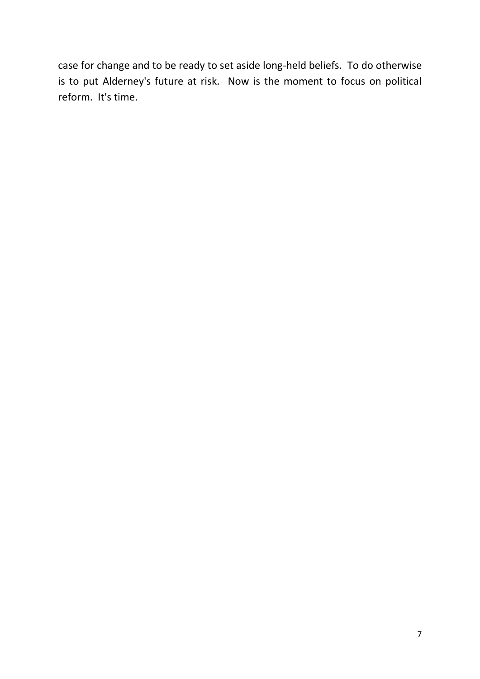case for change and to be ready to set aside long-held beliefs. To do otherwise is to put Alderney's future at risk. Now is the moment to focus on political reform. It's time.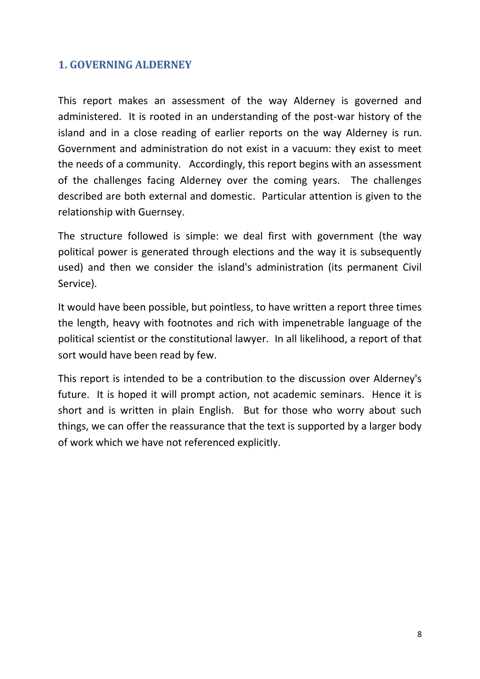## <span id="page-7-0"></span>**1. GOVERNING ALDERNEY**

This report makes an assessment of the way Alderney is governed and administered. It is rooted in an understanding of the post-war history of the island and in a close reading of earlier reports on the way Alderney is run. Government and administration do not exist in a vacuum: they exist to meet the needs of a community. Accordingly, this report begins with an assessment of the challenges facing Alderney over the coming years. The challenges described are both external and domestic. Particular attention is given to the relationship with Guernsey.

The structure followed is simple: we deal first with government (the way political power is generated through elections and the way it is subsequently used) and then we consider the island's administration (its permanent Civil Service).

It would have been possible, but pointless, to have written a report three times the length, heavy with footnotes and rich with impenetrable language of the political scientist or the constitutional lawyer. In all likelihood, a report of that sort would have been read by few.

This report is intended to be a contribution to the discussion over Alderney's future. It is hoped it will prompt action, not academic seminars. Hence it is short and is written in plain English. But for those who worry about such things, we can offer the reassurance that the text is supported by a larger body of work which we have not referenced explicitly.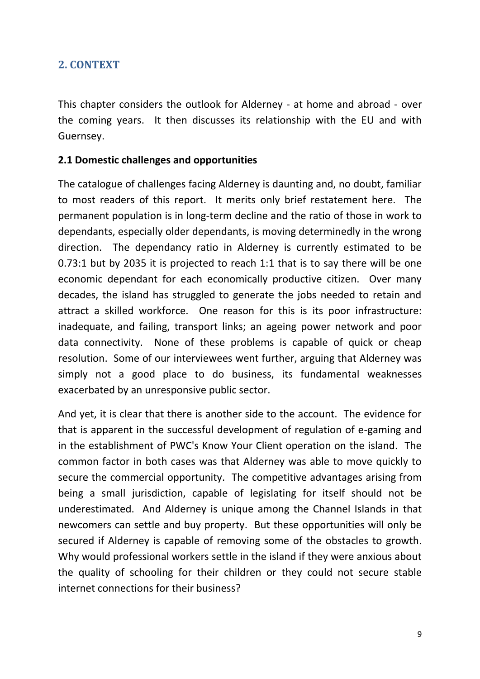## <span id="page-8-0"></span>**2. CONTEXT**

This chapter considers the outlook for Alderney - at home and abroad - over the coming years. It then discusses its relationship with the EU and with Guernsey.

#### **2.1 Domestic challenges and opportunities**

The catalogue of challenges facing Alderney is daunting and, no doubt, familiar to most readers of this report. It merits only brief restatement here. The permanent population is in long-term decline and the ratio of those in work to dependants, especially older dependants, is moving determinedly in the wrong direction. The dependancy ratio in Alderney is currently estimated to be 0.73:1 but by 2035 it is projected to reach 1:1 that is to say there will be one economic dependant for each economically productive citizen. Over many decades, the island has struggled to generate the jobs needed to retain and attract a skilled workforce. One reason for this is its poor infrastructure: inadequate, and failing, transport links; an ageing power network and poor data connectivity. None of these problems is capable of quick or cheap resolution. Some of our interviewees went further, arguing that Alderney was simply not a good place to do business, its fundamental weaknesses exacerbated by an unresponsive public sector.

And yet, it is clear that there is another side to the account. The evidence for that is apparent in the successful development of regulation of e-gaming and in the establishment of PWC's Know Your Client operation on the island. The common factor in both cases was that Alderney was able to move quickly to secure the commercial opportunity. The competitive advantages arising from being a small jurisdiction, capable of legislating for itself should not be underestimated. And Alderney is unique among the Channel Islands in that newcomers can settle and buy property. But these opportunities will only be secured if Alderney is capable of removing some of the obstacles to growth. Why would professional workers settle in the island if they were anxious about the quality of schooling for their children or they could not secure stable internet connections for their business?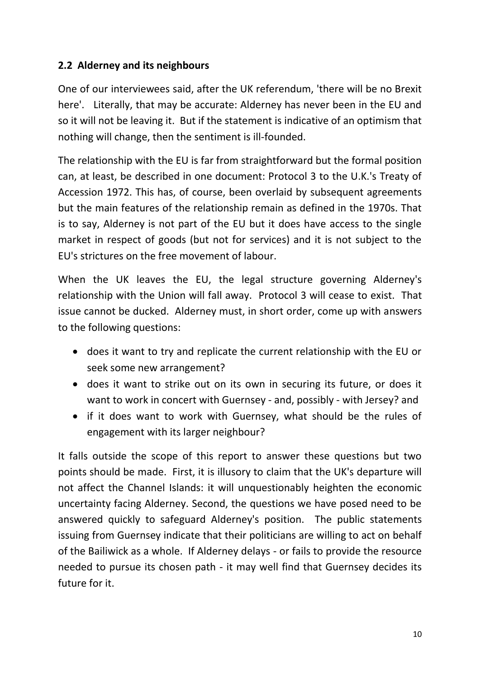## **2.2 Alderney and its neighbours**

One of our interviewees said, after the UK referendum, 'there will be no Brexit here'. Literally, that may be accurate: Alderney has never been in the EU and so it will not be leaving it. But if the statement is indicative of an optimism that nothing will change, then the sentiment is ill-founded.

The relationship with the EU is far from straightforward but the formal position can, at least, be described in one document: Protocol 3 to the U.K.'s Treaty of Accession 1972. This has, of course, been overlaid by subsequent agreements but the main features of the relationship remain as defined in the 1970s. That is to say, Alderney is not part of the EU but it does have access to the single market in respect of goods (but not for services) and it is not subject to the EU's strictures on the free movement of labour.

When the UK leaves the EU, the legal structure governing Alderney's relationship with the Union will fall away. Protocol 3 will cease to exist. That issue cannot be ducked. Alderney must, in short order, come up with answers to the following questions:

- does it want to try and replicate the current relationship with the EU or seek some new arrangement?
- does it want to strike out on its own in securing its future, or does it want to work in concert with Guernsey - and, possibly - with Jersey? and
- if it does want to work with Guernsey, what should be the rules of engagement with its larger neighbour?

It falls outside the scope of this report to answer these questions but two points should be made. First, it is illusory to claim that the UK's departure will not affect the Channel Islands: it will unquestionably heighten the economic uncertainty facing Alderney. Second, the questions we have posed need to be answered quickly to safeguard Alderney's position. The public statements issuing from Guernsey indicate that their politicians are willing to act on behalf of the Bailiwick as a whole. If Alderney delays - or fails to provide the resource needed to pursue its chosen path - it may well find that Guernsey decides its future for it.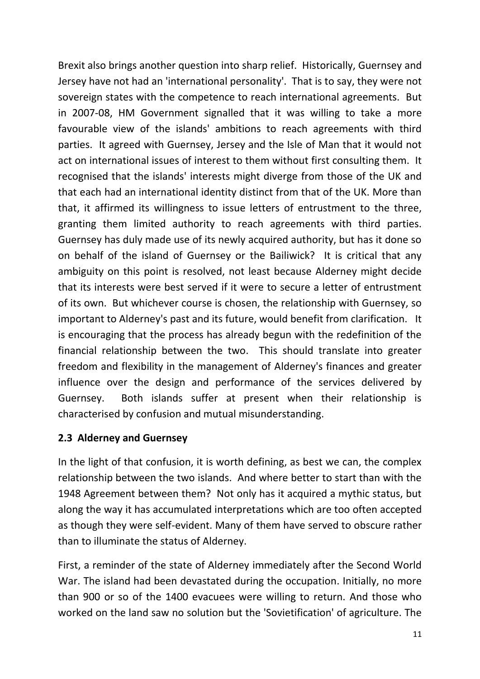Brexit also brings another question into sharp relief. Historically, Guernsey and Jersey have not had an 'international personality'. That is to say, they were not sovereign states with the competence to reach international agreements. But in 2007-08, HM Government signalled that it was willing to take a more favourable view of the islands' ambitions to reach agreements with third parties. It agreed with Guernsey, Jersey and the Isle of Man that it would not act on international issues of interest to them without first consulting them. It recognised that the islands' interests might diverge from those of the UK and that each had an international identity distinct from that of the UK. More than that, it affirmed its willingness to issue letters of entrustment to the three, granting them limited authority to reach agreements with third parties. Guernsey has duly made use of its newly acquired authority, but has it done so on behalf of the island of Guernsey or the Bailiwick? It is critical that any ambiguity on this point is resolved, not least because Alderney might decide that its interests were best served if it were to secure a letter of entrustment of its own. But whichever course is chosen, the relationship with Guernsey, so important to Alderney's past and its future, would benefit from clarification. It is encouraging that the process has already begun with the redefinition of the financial relationship between the two. This should translate into greater freedom and flexibility in the management of Alderney's finances and greater influence over the design and performance of the services delivered by Guernsey. Both islands suffer at present when their relationship is characterised by confusion and mutual misunderstanding.

## **2.3 Alderney and Guernsey**

In the light of that confusion, it is worth defining, as best we can, the complex relationship between the two islands. And where better to start than with the 1948 Agreement between them? Not only has it acquired a mythic status, but along the way it has accumulated interpretations which are too often accepted as though they were self-evident. Many of them have served to obscure rather than to illuminate the status of Alderney.

First, a reminder of the state of Alderney immediately after the Second World War. The island had been devastated during the occupation. Initially, no more than 900 or so of the 1400 evacuees were willing to return. And those who worked on the land saw no solution but the 'Sovietification' of agriculture. The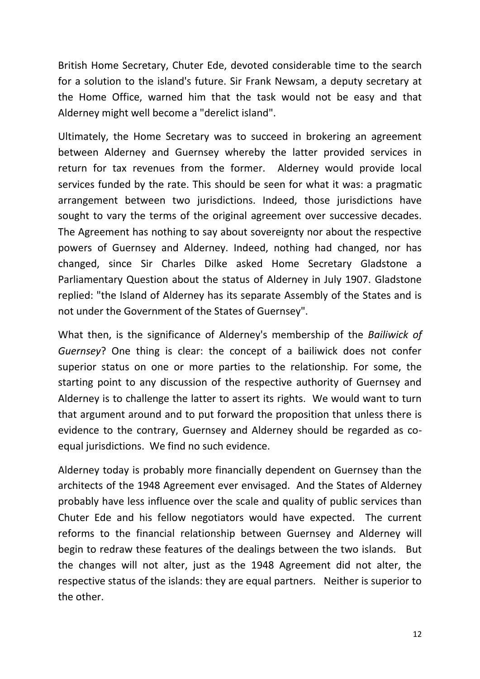British Home Secretary, Chuter Ede, devoted considerable time to the search for a solution to the island's future. Sir Frank Newsam, a deputy secretary at the Home Office, warned him that the task would not be easy and that Alderney might well become a "derelict island".

Ultimately, the Home Secretary was to succeed in brokering an agreement between Alderney and Guernsey whereby the latter provided services in return for tax revenues from the former. Alderney would provide local services funded by the rate. This should be seen for what it was: a pragmatic arrangement between two jurisdictions. Indeed, those jurisdictions have sought to vary the terms of the original agreement over successive decades. The Agreement has nothing to say about sovereignty nor about the respective powers of Guernsey and Alderney. Indeed, nothing had changed, nor has changed, since Sir Charles Dilke asked Home Secretary Gladstone a Parliamentary Question about the status of Alderney in July 1907. Gladstone replied: "the Island of Alderney has its separate Assembly of the States and is not under the Government of the States of Guernsey".

What then, is the significance of Alderney's membership of the *Bailiwick of Guernsey*? One thing is clear: the concept of a bailiwick does not confer superior status on one or more parties to the relationship. For some, the starting point to any discussion of the respective authority of Guernsey and Alderney is to challenge the latter to assert its rights. We would want to turn that argument around and to put forward the proposition that unless there is evidence to the contrary, Guernsey and Alderney should be regarded as coequal jurisdictions. We find no such evidence.

Alderney today is probably more financially dependent on Guernsey than the architects of the 1948 Agreement ever envisaged. And the States of Alderney probably have less influence over the scale and quality of public services than Chuter Ede and his fellow negotiators would have expected. The current reforms to the financial relationship between Guernsey and Alderney will begin to redraw these features of the dealings between the two islands. But the changes will not alter, just as the 1948 Agreement did not alter, the respective status of the islands: they are equal partners. Neither is superior to the other.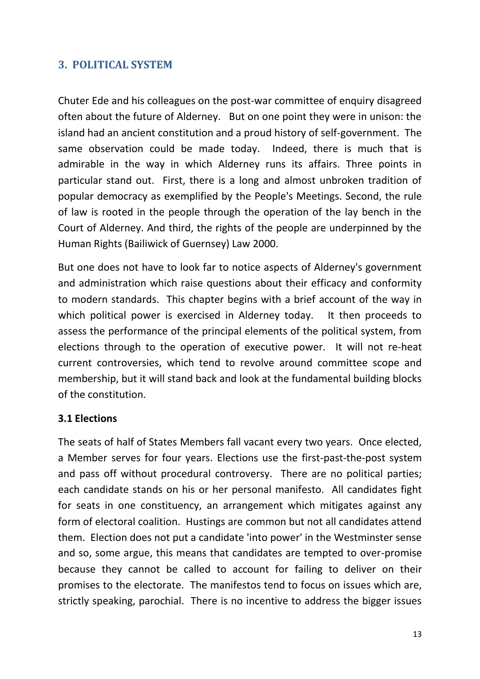## <span id="page-12-0"></span>**3. POLITICAL SYSTEM**

Chuter Ede and his colleagues on the post-war committee of enquiry disagreed often about the future of Alderney. But on one point they were in unison: the island had an ancient constitution and a proud history of self-government. The same observation could be made today. Indeed, there is much that is admirable in the way in which Alderney runs its affairs. Three points in particular stand out. First, there is a long and almost unbroken tradition of popular democracy as exemplified by the People's Meetings. Second, the rule of law is rooted in the people through the operation of the lay bench in the Court of Alderney. And third, the rights of the people are underpinned by the Human Rights (Bailiwick of Guernsey) Law 2000.

But one does not have to look far to notice aspects of Alderney's government and administration which raise questions about their efficacy and conformity to modern standards. This chapter begins with a brief account of the way in which political power is exercised in Alderney today. It then proceeds to assess the performance of the principal elements of the political system, from elections through to the operation of executive power. It will not re-heat current controversies, which tend to revolve around committee scope and membership, but it will stand back and look at the fundamental building blocks of the constitution.

#### **3.1 Elections**

The seats of half of States Members fall vacant every two years. Once elected, a Member serves for four years. Elections use the first-past-the-post system and pass off without procedural controversy. There are no political parties; each candidate stands on his or her personal manifesto. All candidates fight for seats in one constituency, an arrangement which mitigates against any form of electoral coalition. Hustings are common but not all candidates attend them. Election does not put a candidate 'into power' in the Westminster sense and so, some argue, this means that candidates are tempted to over-promise because they cannot be called to account for failing to deliver on their promises to the electorate. The manifestos tend to focus on issues which are, strictly speaking, parochial. There is no incentive to address the bigger issues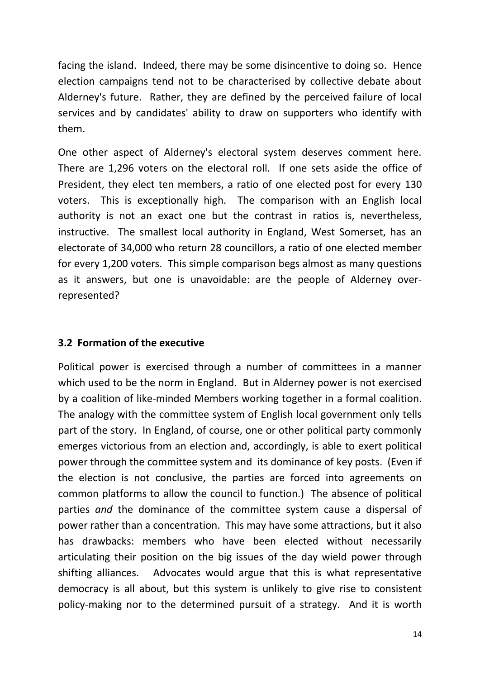facing the island. Indeed, there may be some disincentive to doing so. Hence election campaigns tend not to be characterised by collective debate about Alderney's future. Rather, they are defined by the perceived failure of local services and by candidates' ability to draw on supporters who identify with them.

One other aspect of Alderney's electoral system deserves comment here. There are 1,296 voters on the electoral roll. If one sets aside the office of President, they elect ten members, a ratio of one elected post for every 130 voters. This is exceptionally high. The comparison with an English local authority is not an exact one but the contrast in ratios is, nevertheless, instructive. The smallest local authority in England, West Somerset, has an electorate of 34,000 who return 28 councillors, a ratio of one elected member for every 1,200 voters. This simple comparison begs almost as many questions as it answers, but one is unavoidable: are the people of Alderney overrepresented?

## **3.2 Formation of the executive**

Political power is exercised through a number of committees in a manner which used to be the norm in England. But in Alderney power is not exercised by a coalition of like-minded Members working together in a formal coalition. The analogy with the committee system of English local government only tells part of the story. In England, of course, one or other political party commonly emerges victorious from an election and, accordingly, is able to exert political power through the committee system and its dominance of key posts. (Even if the election is not conclusive, the parties are forced into agreements on common platforms to allow the council to function.) The absence of political parties *and* the dominance of the committee system cause a dispersal of power rather than a concentration. This may have some attractions, but it also has drawbacks: members who have been elected without necessarily articulating their position on the big issues of the day wield power through shifting alliances. Advocates would argue that this is what representative democracy is all about, but this system is unlikely to give rise to consistent policy-making nor to the determined pursuit of a strategy. And it is worth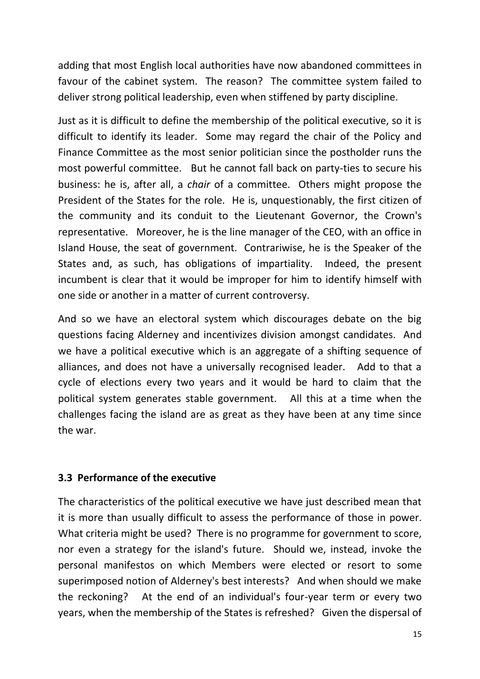adding that most English local authorities have now abandoned committees in favour of the cabinet system. The reason? The committee system failed to deliver strong political leadership, even when stiffened by party discipline.

Just as it is difficult to define the membership of the political executive, so it is difficult to identify its leader. Some may regard the chair of the Policy and Finance Committee as the most senior politician since the postholder runs the most powerful committee. But he cannot fall back on party-ties to secure his business: he is, after all, a *chair* of a committee. Others might propose the President of the States for the role. He is, unquestionably, the first citizen of the community and its conduit to the Lieutenant Governor, the Crown's representative. Moreover, he is the line manager of the CEO, with an office in Island House, the seat of government. Contrariwise, he is the Speaker of the States and, as such, has obligations of impartiality. Indeed, the present incumbent is clear that it would be improper for him to identify himself with one side or another in a matter of current controversy.

And so we have an electoral system which discourages debate on the big questions facing Alderney and incentivizes division amongst candidates. And we have a political executive which is an aggregate of a shifting sequence of alliances, and does not have a universally recognised leader. Add to that a cycle of elections every two years and it would be hard to claim that the political system generates stable government. All this at a time when the challenges facing the island are as great as they have been at any time since the war.

#### **3.3 Performance of the executive**

The characteristics of the political executive we have just described mean that it is more than usually difficult to assess the performance of those in power. What criteria might be used? There is no programme for government to score, nor even a strategy for the island's future. Should we, instead, invoke the personal manifestos on which Members were elected or resort to some superimposed notion of Alderney's best interests? And when should we make the reckoning? At the end of an individual's four-year term or every two years, when the membership of the States is refreshed? Given the dispersal of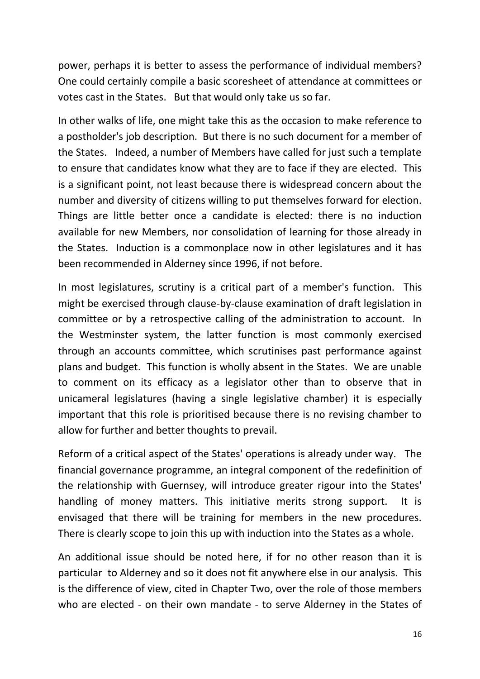power, perhaps it is better to assess the performance of individual members? One could certainly compile a basic scoresheet of attendance at committees or votes cast in the States. But that would only take us so far.

In other walks of life, one might take this as the occasion to make reference to a postholder's job description. But there is no such document for a member of the States. Indeed, a number of Members have called for just such a template to ensure that candidates know what they are to face if they are elected. This is a significant point, not least because there is widespread concern about the number and diversity of citizens willing to put themselves forward for election. Things are little better once a candidate is elected: there is no induction available for new Members, nor consolidation of learning for those already in the States. Induction is a commonplace now in other legislatures and it has been recommended in Alderney since 1996, if not before.

In most legislatures, scrutiny is a critical part of a member's function. This might be exercised through clause-by-clause examination of draft legislation in committee or by a retrospective calling of the administration to account. In the Westminster system, the latter function is most commonly exercised through an accounts committee, which scrutinises past performance against plans and budget. This function is wholly absent in the States. We are unable to comment on its efficacy as a legislator other than to observe that in unicameral legislatures (having a single legislative chamber) it is especially important that this role is prioritised because there is no revising chamber to allow for further and better thoughts to prevail.

Reform of a critical aspect of the States' operations is already under way. The financial governance programme, an integral component of the redefinition of the relationship with Guernsey, will introduce greater rigour into the States' handling of money matters. This initiative merits strong support. It is envisaged that there will be training for members in the new procedures. There is clearly scope to join this up with induction into the States as a whole.

An additional issue should be noted here, if for no other reason than it is particular to Alderney and so it does not fit anywhere else in our analysis. This is the difference of view, cited in Chapter Two, over the role of those members who are elected - on their own mandate - to serve Alderney in the States of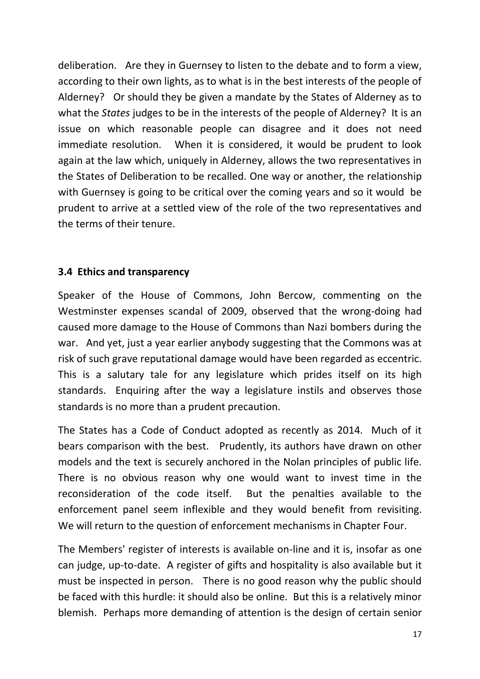deliberation. Are they in Guernsey to listen to the debate and to form a view, according to their own lights, as to what is in the best interests of the people of Alderney? Or should they be given a mandate by the States of Alderney as to what the *States* judges to be in the interests of the people of Alderney? It is an issue on which reasonable people can disagree and it does not need immediate resolution. When it is considered, it would be prudent to look again at the law which, uniquely in Alderney, allows the two representatives in the States of Deliberation to be recalled. One way or another, the relationship with Guernsey is going to be critical over the coming years and so it would be prudent to arrive at a settled view of the role of the two representatives and the terms of their tenure.

## **3.4 Ethics and transparency**

Speaker of the House of Commons, John Bercow, commenting on the Westminster expenses scandal of 2009, observed that the wrong-doing had caused more damage to the House of Commons than Nazi bombers during the war. And yet, just a year earlier anybody suggesting that the Commons was at risk of such grave reputational damage would have been regarded as eccentric. This is a salutary tale for any legislature which prides itself on its high standards. Enquiring after the way a legislature instils and observes those standards is no more than a prudent precaution.

The States has a Code of Conduct adopted as recently as 2014. Much of it bears comparison with the best. Prudently, its authors have drawn on other models and the text is securely anchored in the Nolan principles of public life. There is no obvious reason why one would want to invest time in the reconsideration of the code itself. But the penalties available to the enforcement panel seem inflexible and they would benefit from revisiting. We will return to the question of enforcement mechanisms in Chapter Four.

The Members' register of interests is available on-line and it is, insofar as one can judge, up-to-date. A register of gifts and hospitality is also available but it must be inspected in person. There is no good reason why the public should be faced with this hurdle: it should also be online. But this is a relatively minor blemish. Perhaps more demanding of attention is the design of certain senior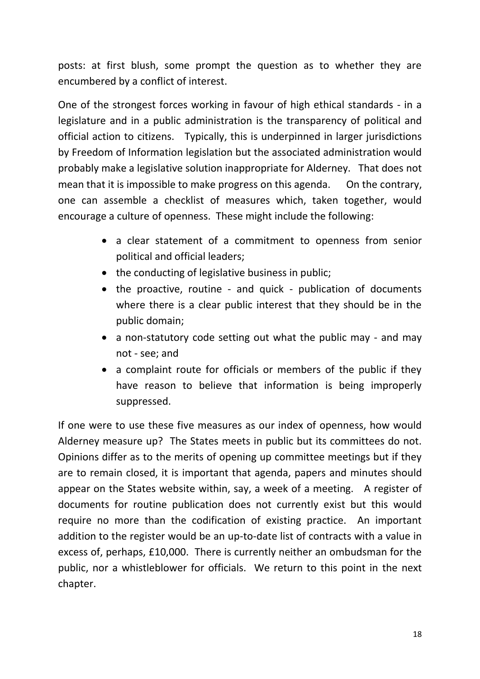posts: at first blush, some prompt the question as to whether they are encumbered by a conflict of interest.

One of the strongest forces working in favour of high ethical standards - in a legislature and in a public administration is the transparency of political and official action to citizens. Typically, this is underpinned in larger jurisdictions by Freedom of Information legislation but the associated administration would probably make a legislative solution inappropriate for Alderney. That does not mean that it is impossible to make progress on this agenda. On the contrary, one can assemble a checklist of measures which, taken together, would encourage a culture of openness. These might include the following:

- a clear statement of a commitment to openness from senior political and official leaders;
- the conducting of legislative business in public;
- the proactive, routine and quick publication of documents where there is a clear public interest that they should be in the public domain;
- a non-statutory code setting out what the public may and may not - see; and
- a complaint route for officials or members of the public if they have reason to believe that information is being improperly suppressed.

If one were to use these five measures as our index of openness, how would Alderney measure up? The States meets in public but its committees do not. Opinions differ as to the merits of opening up committee meetings but if they are to remain closed, it is important that agenda, papers and minutes should appear on the States website within, say, a week of a meeting. A register of documents for routine publication does not currently exist but this would require no more than the codification of existing practice. An important addition to the register would be an up-to-date list of contracts with a value in excess of, perhaps, £10,000. There is currently neither an ombudsman for the public, nor a whistleblower for officials. We return to this point in the next chapter.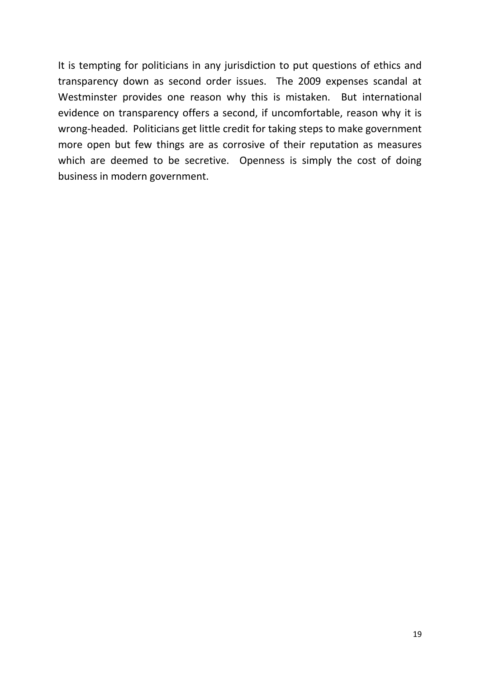It is tempting for politicians in any jurisdiction to put questions of ethics and transparency down as second order issues. The 2009 expenses scandal at Westminster provides one reason why this is mistaken. But international evidence on transparency offers a second, if uncomfortable, reason why it is wrong-headed. Politicians get little credit for taking steps to make government more open but few things are as corrosive of their reputation as measures which are deemed to be secretive. Openness is simply the cost of doing business in modern government.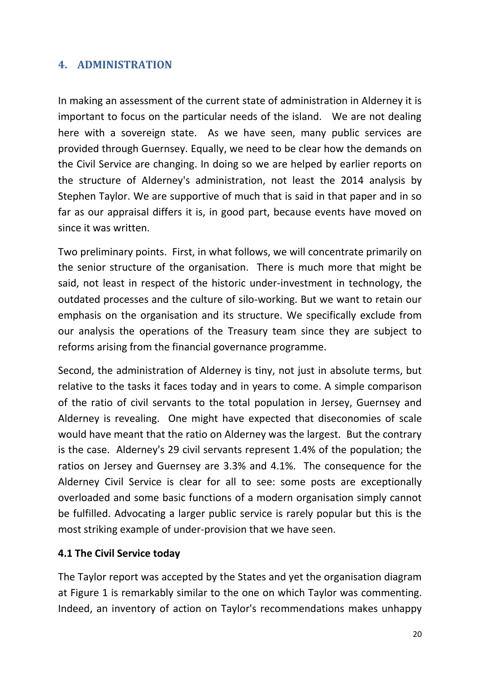## <span id="page-19-0"></span>**4. ADMINISTRATION**

In making an assessment of the current state of administration in Alderney it is important to focus on the particular needs of the island. We are not dealing here with a sovereign state. As we have seen, many public services are provided through Guernsey. Equally, we need to be clear how the demands on the Civil Service are changing. In doing so we are helped by earlier reports on the structure of Alderney's administration, not least the 2014 analysis by Stephen Taylor. We are supportive of much that is said in that paper and in so far as our appraisal differs it is, in good part, because events have moved on since it was written.

Two preliminary points. First, in what follows, we will concentrate primarily on the senior structure of the organisation. There is much more that might be said, not least in respect of the historic under-investment in technology, the outdated processes and the culture of silo-working. But we want to retain our emphasis on the organisation and its structure. We specifically exclude from our analysis the operations of the Treasury team since they are subject to reforms arising from the financial governance programme.

Second, the administration of Alderney is tiny, not just in absolute terms, but relative to the tasks it faces today and in years to come. A simple comparison of the ratio of civil servants to the total population in Jersey, Guernsey and Alderney is revealing. One might have expected that diseconomies of scale would have meant that the ratio on Alderney was the largest. But the contrary is the case. Alderney's 29 civil servants represent 1.4% of the population; the ratios on Jersey and Guernsey are 3.3% and 4.1%. The consequence for the Alderney Civil Service is clear for all to see: some posts are exceptionally overloaded and some basic functions of a modern organisation simply cannot be fulfilled. Advocating a larger public service is rarely popular but this is the most striking example of under-provision that we have seen.

## **4.1 The Civil Service today**

The Taylor report was accepted by the States and yet the organisation diagram at Figure 1 is remarkably similar to the one on which Taylor was commenting. Indeed, an inventory of action on Taylor's recommendations makes unhappy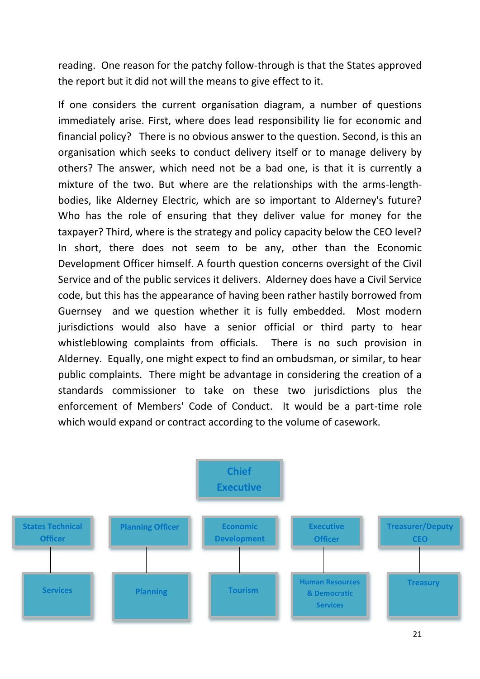reading. One reason for the patchy follow-through is that the States approved the report but it did not will the means to give effect to it.

If one considers the current organisation diagram, a number of questions immediately arise. First, where does lead responsibility lie for economic and financial policy? There is no obvious answer to the question. Second, is this an organisation which seeks to conduct delivery itself or to manage delivery by others? The answer, which need not be a bad one, is that it is currently a mixture of the two. But where are the relationships with the arms-lengthbodies, like Alderney Electric, which are so important to Alderney's future? Who has the role of ensuring that they deliver value for money for the taxpayer? Third, where is the strategy and policy capacity below the CEO level? In short, there does not seem to be any, other than the Economic Development Officer himself. A fourth question concerns oversight of the Civil Service and of the public services it delivers. Alderney does have a Civil Service code, but this has the appearance of having been rather hastily borrowed from Guernsey and we question whether it is fully embedded. Most modern jurisdictions would also have a senior official or third party to hear whistleblowing complaints from officials. There is no such provision in Alderney. Equally, one might expect to find an ombudsman, or similar, to hear public complaints. There might be advantage in considering the creation of a standards commissioner to take on these two jurisdictions plus the enforcement of Members' Code of Conduct. It would be a part-time role which would expand or contract according to the volume of casework.

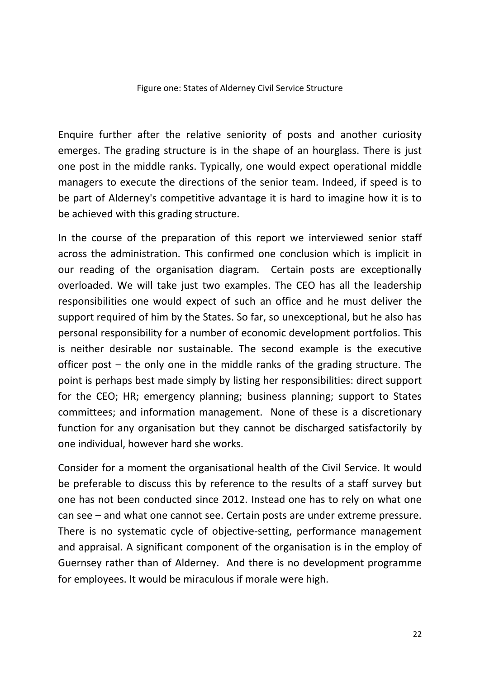#### Figure one: States of Alderney Civil Service Structure

Enquire further after the relative seniority of posts and another curiosity emerges. The grading structure is in the shape of an hourglass. There is just one post in the middle ranks. Typically, one would expect operational middle managers to execute the directions of the senior team. Indeed, if speed is to be part of Alderney's competitive advantage it is hard to imagine how it is to be achieved with this grading structure.

In the course of the preparation of this report we interviewed senior staff across the administration. This confirmed one conclusion which is implicit in our reading of the organisation diagram. Certain posts are exceptionally overloaded. We will take just two examples. The CEO has all the leadership responsibilities one would expect of such an office and he must deliver the support required of him by the States. So far, so unexceptional, but he also has personal responsibility for a number of economic development portfolios. This is neither desirable nor sustainable. The second example is the executive officer post – the only one in the middle ranks of the grading structure. The point is perhaps best made simply by listing her responsibilities: direct support for the CEO; HR; emergency planning; business planning; support to States committees; and information management. None of these is a discretionary function for any organisation but they cannot be discharged satisfactorily by one individual, however hard she works.

Consider for a moment the organisational health of the Civil Service. It would be preferable to discuss this by reference to the results of a staff survey but one has not been conducted since 2012. Instead one has to rely on what one can see – and what one cannot see. Certain posts are under extreme pressure. There is no systematic cycle of objective-setting, performance management and appraisal. A significant component of the organisation is in the employ of Guernsey rather than of Alderney. And there is no development programme for employees. It would be miraculous if morale were high.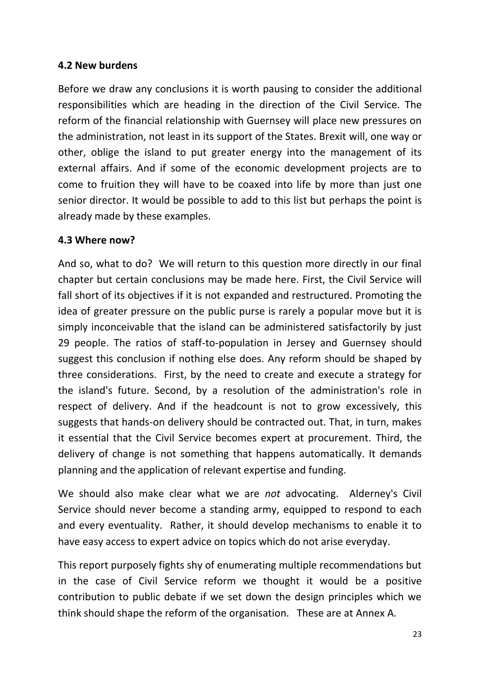## **4.2 New burdens**

Before we draw any conclusions it is worth pausing to consider the additional responsibilities which are heading in the direction of the Civil Service. The reform of the financial relationship with Guernsey will place new pressures on the administration, not least in its support of the States. Brexit will, one way or other, oblige the island to put greater energy into the management of its external affairs. And if some of the economic development projects are to come to fruition they will have to be coaxed into life by more than just one senior director. It would be possible to add to this list but perhaps the point is already made by these examples.

## **4.3 Where now?**

And so, what to do? We will return to this question more directly in our final chapter but certain conclusions may be made here. First, the Civil Service will fall short of its objectives if it is not expanded and restructured. Promoting the idea of greater pressure on the public purse is rarely a popular move but it is simply inconceivable that the island can be administered satisfactorily by just 29 people. The ratios of staff-to-population in Jersey and Guernsey should suggest this conclusion if nothing else does. Any reform should be shaped by three considerations. First, by the need to create and execute a strategy for the island's future. Second, by a resolution of the administration's role in respect of delivery. And if the headcount is not to grow excessively, this suggests that hands-on delivery should be contracted out. That, in turn, makes it essential that the Civil Service becomes expert at procurement. Third, the delivery of change is not something that happens automatically. It demands planning and the application of relevant expertise and funding.

We should also make clear what we are *not* advocating. Alderney's Civil Service should never become a standing army, equipped to respond to each and every eventuality. Rather, it should develop mechanisms to enable it to have easy access to expert advice on topics which do not arise everyday.

This report purposely fights shy of enumerating multiple recommendations but in the case of Civil Service reform we thought it would be a positive contribution to public debate if we set down the design principles which we think should shape the reform of the organisation. These are at Annex A.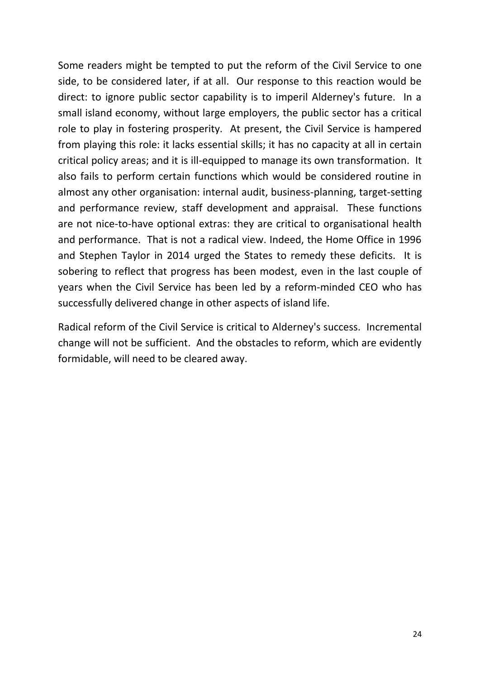Some readers might be tempted to put the reform of the Civil Service to one side, to be considered later, if at all. Our response to this reaction would be direct: to ignore public sector capability is to imperil Alderney's future. In a small island economy, without large employers, the public sector has a critical role to play in fostering prosperity. At present, the Civil Service is hampered from playing this role: it lacks essential skills; it has no capacity at all in certain critical policy areas; and it is ill-equipped to manage its own transformation. It also fails to perform certain functions which would be considered routine in almost any other organisation: internal audit, business-planning, target-setting and performance review, staff development and appraisal. These functions are not nice-to-have optional extras: they are critical to organisational health and performance. That is not a radical view. Indeed, the Home Office in 1996 and Stephen Taylor in 2014 urged the States to remedy these deficits. It is sobering to reflect that progress has been modest, even in the last couple of years when the Civil Service has been led by a reform-minded CEO who has successfully delivered change in other aspects of island life.

Radical reform of the Civil Service is critical to Alderney's success. Incremental change will not be sufficient. And the obstacles to reform, which are evidently formidable, will need to be cleared away.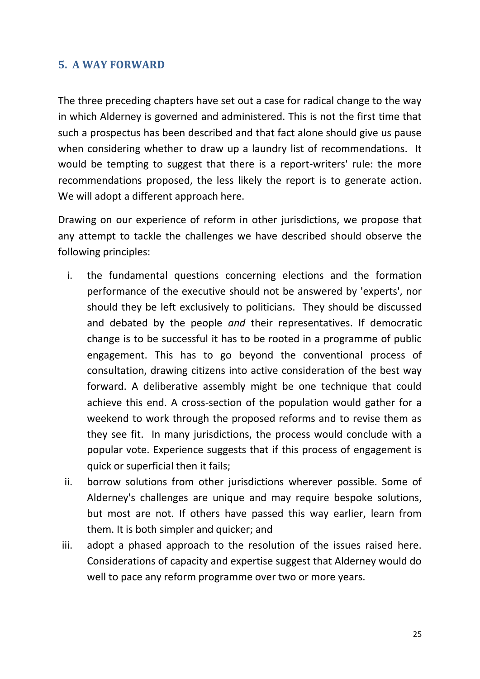## <span id="page-24-0"></span>**5. A WAY FORWARD**

The three preceding chapters have set out a case for radical change to the way in which Alderney is governed and administered. This is not the first time that such a prospectus has been described and that fact alone should give us pause when considering whether to draw up a laundry list of recommendations. It would be tempting to suggest that there is a report-writers' rule: the more recommendations proposed, the less likely the report is to generate action. We will adopt a different approach here.

Drawing on our experience of reform in other jurisdictions, we propose that any attempt to tackle the challenges we have described should observe the following principles:

- i. the fundamental questions concerning elections and the formation performance of the executive should not be answered by 'experts', nor should they be left exclusively to politicians. They should be discussed and debated by the people *and* their representatives. If democratic change is to be successful it has to be rooted in a programme of public engagement. This has to go beyond the conventional process of consultation, drawing citizens into active consideration of the best way forward. A deliberative assembly might be one technique that could achieve this end. A cross-section of the population would gather for a weekend to work through the proposed reforms and to revise them as they see fit. In many jurisdictions, the process would conclude with a popular vote. Experience suggests that if this process of engagement is quick or superficial then it fails;
- ii. borrow solutions from other jurisdictions wherever possible. Some of Alderney's challenges are unique and may require bespoke solutions, but most are not. If others have passed this way earlier, learn from them. It is both simpler and quicker; and
- iii. adopt a phased approach to the resolution of the issues raised here. Considerations of capacity and expertise suggest that Alderney would do well to pace any reform programme over two or more years.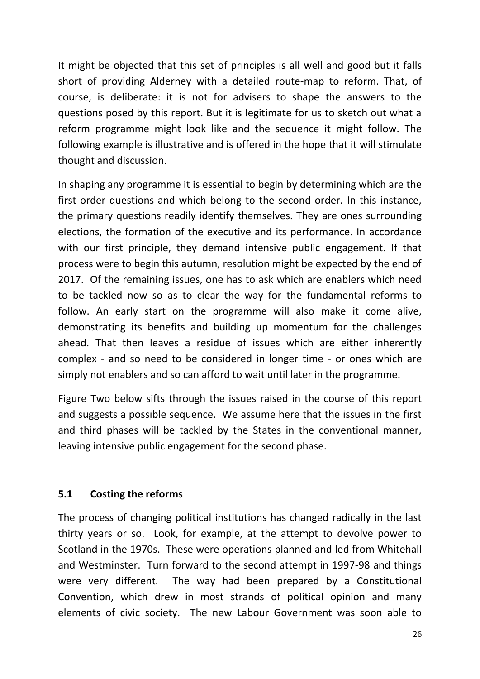It might be objected that this set of principles is all well and good but it falls short of providing Alderney with a detailed route-map to reform. That, of course, is deliberate: it is not for advisers to shape the answers to the questions posed by this report. But it is legitimate for us to sketch out what a reform programme might look like and the sequence it might follow. The following example is illustrative and is offered in the hope that it will stimulate thought and discussion.

In shaping any programme it is essential to begin by determining which are the first order questions and which belong to the second order. In this instance, the primary questions readily identify themselves. They are ones surrounding elections, the formation of the executive and its performance. In accordance with our first principle, they demand intensive public engagement. If that process were to begin this autumn, resolution might be expected by the end of 2017. Of the remaining issues, one has to ask which are enablers which need to be tackled now so as to clear the way for the fundamental reforms to follow. An early start on the programme will also make it come alive, demonstrating its benefits and building up momentum for the challenges ahead. That then leaves a residue of issues which are either inherently complex - and so need to be considered in longer time - or ones which are simply not enablers and so can afford to wait until later in the programme.

Figure Two below sifts through the issues raised in the course of this report and suggests a possible sequence. We assume here that the issues in the first and third phases will be tackled by the States in the conventional manner, leaving intensive public engagement for the second phase.

## **5.1 Costing the reforms**

The process of changing political institutions has changed radically in the last thirty years or so. Look, for example, at the attempt to devolve power to Scotland in the 1970s. These were operations planned and led from Whitehall and Westminster. Turn forward to the second attempt in 1997-98 and things were very different. The way had been prepared by a Constitutional Convention, which drew in most strands of political opinion and many elements of civic society. The new Labour Government was soon able to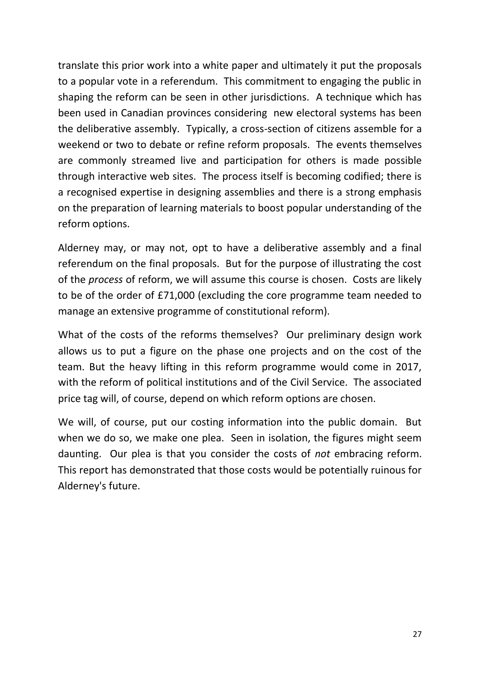translate this prior work into a white paper and ultimately it put the proposals to a popular vote in a referendum. This commitment to engaging the public in shaping the reform can be seen in other jurisdictions. A technique which has been used in Canadian provinces considering new electoral systems has been the deliberative assembly. Typically, a cross-section of citizens assemble for a weekend or two to debate or refine reform proposals. The events themselves are commonly streamed live and participation for others is made possible through interactive web sites. The process itself is becoming codified; there is a recognised expertise in designing assemblies and there is a strong emphasis on the preparation of learning materials to boost popular understanding of the reform options.

Alderney may, or may not, opt to have a deliberative assembly and a final referendum on the final proposals. But for the purpose of illustrating the cost of the *process* of reform, we will assume this course is chosen. Costs are likely to be of the order of £71,000 (excluding the core programme team needed to manage an extensive programme of constitutional reform).

What of the costs of the reforms themselves? Our preliminary design work allows us to put a figure on the phase one projects and on the cost of the team. But the heavy lifting in this reform programme would come in 2017, with the reform of political institutions and of the Civil Service. The associated price tag will, of course, depend on which reform options are chosen.

We will, of course, put our costing information into the public domain. But when we do so, we make one plea. Seen in isolation, the figures might seem daunting. Our plea is that you consider the costs of *not* embracing reform. This report has demonstrated that those costs would be potentially ruinous for Alderney's future.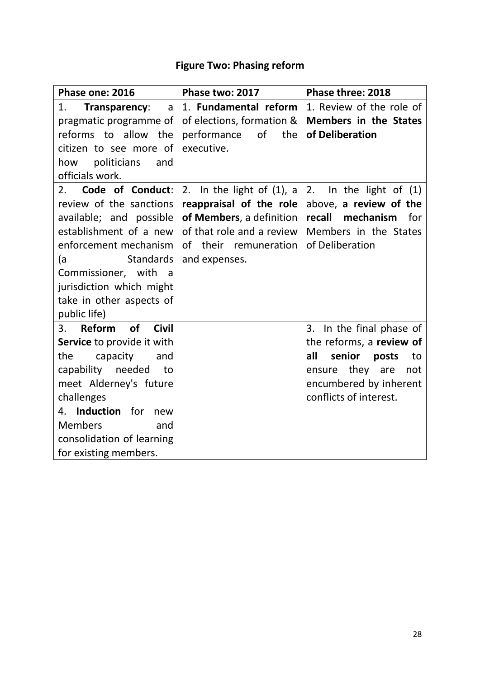## **Figure Two: Phasing reform**

| Phase one: 2016                 | Phase two: 2017                 | Phase three: 2018            |
|---------------------------------|---------------------------------|------------------------------|
| 1.<br>Transparency:<br>a        | 1. Fundamental reform           | 1. Review of the role of     |
| pragmatic programme of          | of elections, formation $&$ $ $ | <b>Members in the States</b> |
| reforms to allow the            | of<br>performance<br>the        | of Deliberation              |
| citizen to see more of          | executive.                      |                              |
| politicians<br>how<br>and       |                                 |                              |
| officials work.                 |                                 |                              |
| Code of Conduct:<br>2.          | 2. In the light of $(1)$ , a    | In the light of $(1)$<br>2.  |
| review of the sanctions         | reappraisal of the role         | above, a review of the       |
| available; and possible         | of Members, a definition        | recall mechanism<br>for      |
| establishment of a new          | of that role and a review       | Members in the States        |
| enforcement mechanism           | of their remuneration           | of Deliberation              |
| <b>Standards</b><br>(a          | and expenses.                   |                              |
| Commissioner, with a            |                                 |                              |
| jurisdiction which might        |                                 |                              |
| take in other aspects of        |                                 |                              |
| public life)                    |                                 |                              |
| Reform of<br>3.<br><b>Civil</b> |                                 | 3. In the final phase of     |
| Service to provide it with      |                                 | the reforms, a review of     |
| the<br>capacity<br>and          |                                 | senior<br>all<br>posts<br>to |
| capability needed<br>to to      |                                 | they<br>ensure<br>are<br>not |
| meet Alderney's future          |                                 | encumbered by inherent       |
| challenges                      |                                 | conflicts of interest.       |
| 4. Induction<br>for<br>new      |                                 |                              |
| <b>Members</b><br>and           |                                 |                              |
| consolidation of learning       |                                 |                              |
| for existing members.           |                                 |                              |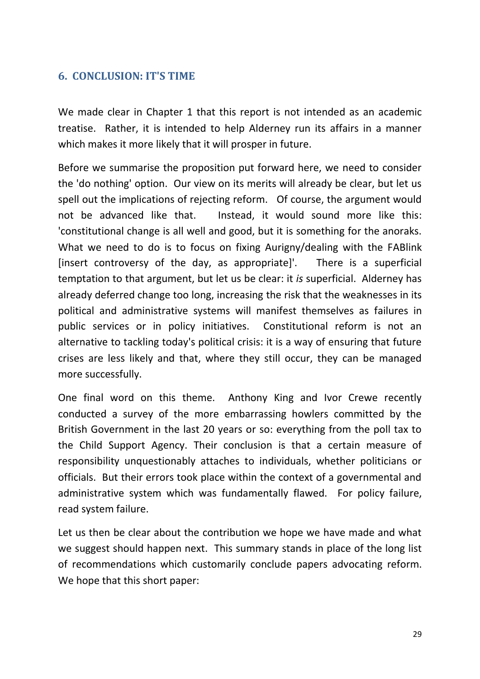## <span id="page-28-0"></span>**6. CONCLUSION: IT'S TIME**

We made clear in Chapter 1 that this report is not intended as an academic treatise. Rather, it is intended to help Alderney run its affairs in a manner which makes it more likely that it will prosper in future.

Before we summarise the proposition put forward here, we need to consider the 'do nothing' option. Our view on its merits will already be clear, but let us spell out the implications of rejecting reform. Of course, the argument would not be advanced like that. Instead, it would sound more like this: 'constitutional change is all well and good, but it is something for the anoraks. What we need to do is to focus on fixing Aurigny/dealing with the FABlink [insert controversy of the day, as appropriate]'. There is a superficial temptation to that argument, but let us be clear: it *is* superficial. Alderney has already deferred change too long, increasing the risk that the weaknesses in its political and administrative systems will manifest themselves as failures in public services or in policy initiatives. Constitutional reform is not an alternative to tackling today's political crisis: it is a way of ensuring that future crises are less likely and that, where they still occur, they can be managed more successfully.

One final word on this theme. Anthony King and Ivor Crewe recently conducted a survey of the more embarrassing howlers committed by the British Government in the last 20 years or so: everything from the poll tax to the Child Support Agency. Their conclusion is that a certain measure of responsibility unquestionably attaches to individuals, whether politicians or officials. But their errors took place within the context of a governmental and administrative system which was fundamentally flawed. For policy failure, read system failure.

Let us then be clear about the contribution we hope we have made and what we suggest should happen next. This summary stands in place of the long list of recommendations which customarily conclude papers advocating reform. We hope that this short paper: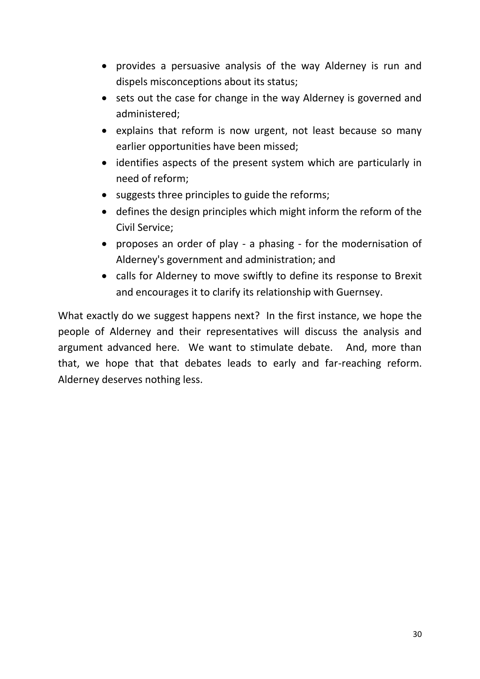- provides a persuasive analysis of the way Alderney is run and dispels misconceptions about its status;
- sets out the case for change in the way Alderney is governed and administered;
- explains that reform is now urgent, not least because so many earlier opportunities have been missed;
- identifies aspects of the present system which are particularly in need of reform;
- suggests three principles to guide the reforms;
- defines the design principles which might inform the reform of the Civil Service;
- proposes an order of play a phasing for the modernisation of Alderney's government and administration; and
- calls for Alderney to move swiftly to define its response to Brexit and encourages it to clarify its relationship with Guernsey.

What exactly do we suggest happens next? In the first instance, we hope the people of Alderney and their representatives will discuss the analysis and argument advanced here. We want to stimulate debate. And, more than that, we hope that that debates leads to early and far-reaching reform. Alderney deserves nothing less.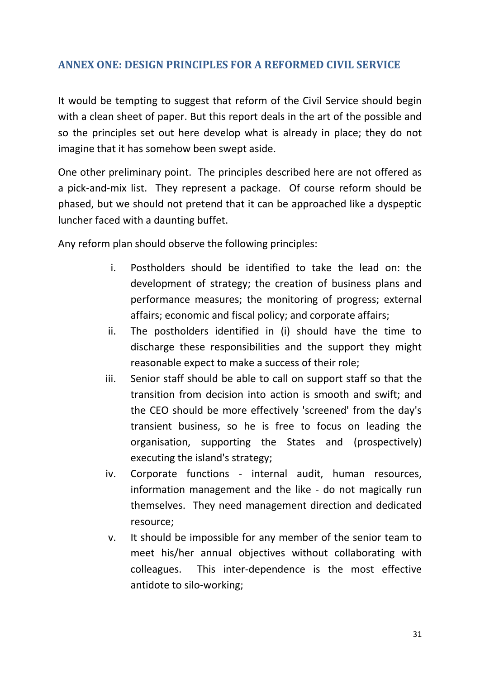## <span id="page-30-0"></span>**ANNEX ONE: DESIGN PRINCIPLES FOR A REFORMED CIVIL SERVICE**

It would be tempting to suggest that reform of the Civil Service should begin with a clean sheet of paper. But this report deals in the art of the possible and so the principles set out here develop what is already in place; they do not imagine that it has somehow been swept aside.

One other preliminary point. The principles described here are not offered as a pick-and-mix list. They represent a package. Of course reform should be phased, but we should not pretend that it can be approached like a dyspeptic luncher faced with a daunting buffet.

Any reform plan should observe the following principles:

- i. Postholders should be identified to take the lead on: the development of strategy; the creation of business plans and performance measures; the monitoring of progress; external affairs; economic and fiscal policy; and corporate affairs;
- ii. The postholders identified in (i) should have the time to discharge these responsibilities and the support they might reasonable expect to make a success of their role;
- iii. Senior staff should be able to call on support staff so that the transition from decision into action is smooth and swift; and the CEO should be more effectively 'screened' from the day's transient business, so he is free to focus on leading the organisation, supporting the States and (prospectively) executing the island's strategy;
- iv. Corporate functions internal audit, human resources, information management and the like - do not magically run themselves. They need management direction and dedicated resource;
- v. It should be impossible for any member of the senior team to meet his/her annual objectives without collaborating with colleagues. This inter-dependence is the most effective antidote to silo-working;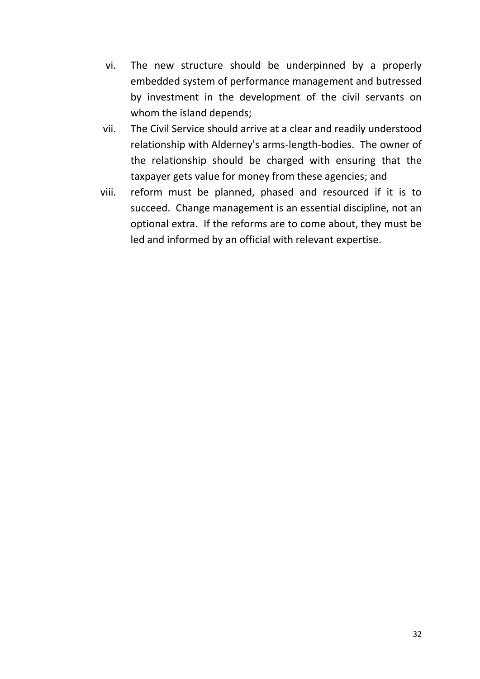- vi. The new structure should be underpinned by a properly embedded system of performance management and butressed by investment in the development of the civil servants on whom the island depends;
- vii. The Civil Service should arrive at a clear and readily understood relationship with Alderney's arms-length-bodies. The owner of the relationship should be charged with ensuring that the taxpayer gets value for money from these agencies; and
- viii. reform must be planned, phased and resourced if it is to succeed. Change management is an essential discipline, not an optional extra. If the reforms are to come about, they must be led and informed by an official with relevant expertise.